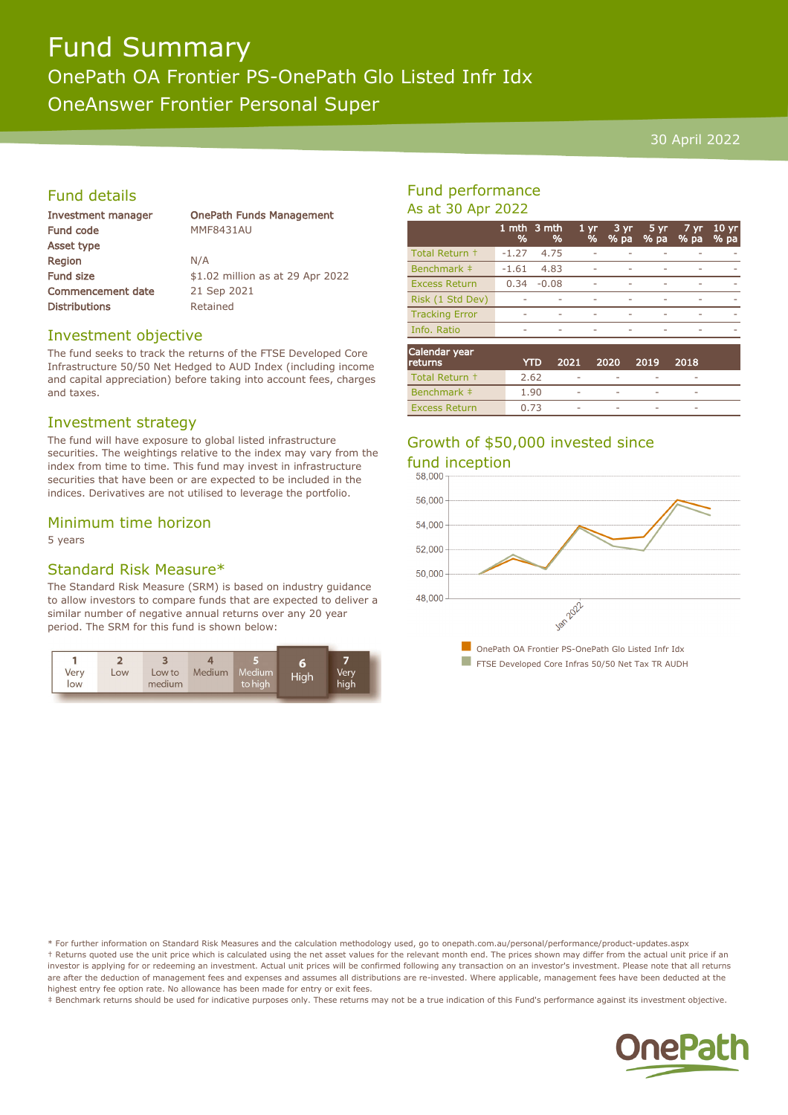## Fund Summary OnePath OA Frontier PS-OnePath Glo Listed Infr Idx OneAnswer Frontier Personal Super

#### 30 April 2022

#### Fund details

| Investment manager       | <b>OnePath Funds Management</b>  |
|--------------------------|----------------------------------|
| Fund code                | <b>MMF8431AU</b>                 |
| Asset type               |                                  |
| Region                   | N/A                              |
| <b>Fund size</b>         | \$1.02 million as at 29 Apr 2022 |
| <b>Commencement date</b> | 21 Sep 2021                      |
| <b>Distributions</b>     | Retained                         |
|                          |                                  |

#### Investment objective

The fund seeks to track the returns of the FTSE Developed Core Infrastructure 50/50 Net Hedged to AUD Index (including income and capital appreciation) before taking into account fees, charges and taxes.

#### Investment strategy

The fund will have exposure to global listed infrastructure securities. The weightings relative to the index may vary from the index from time to time. This fund may invest in infrastructure securities that have been or are expected to be included in the indices. Derivatives are not utilised to leverage the portfolio.

#### Minimum time horizon

5 years

#### Standard Risk Measure\*

The Standard Risk Measure (SRM) is based on industry guidance to allow investors to compare funds that are expected to deliver a similar number of negative annual returns over any 20 year period. The SRM for this fund is shown below:



#### Fund performance As at 30 Apr 2022

|                       | %       | 1 mth 3 mth<br>% | 1 <sub>yr</sub><br>% | $3 \,\mathrm{yr}$<br>% pa | 5 yr<br>% pa | 7 yr<br>% pa | $10 \text{ yr}$<br>% pa |
|-----------------------|---------|------------------|----------------------|---------------------------|--------------|--------------|-------------------------|
| Total Return +        | $-1.27$ | 4.75             |                      |                           |              |              |                         |
| Benchmark #           | $-1.61$ | 4.83             |                      |                           |              |              |                         |
| <b>Excess Return</b>  | 0.34    | $-0.08$          |                      |                           |              |              |                         |
| Risk (1 Std Dev)      |         |                  |                      |                           |              |              |                         |
| <b>Tracking Error</b> |         |                  |                      |                           |              |              |                         |
| Info. Ratio           |         |                  | ۰                    | ٠                         |              |              |                         |
| Calendar vear         |         |                  |                      |                           |              |              |                         |

| Calendar year<br>returns | YTD  | 2021                     | 2020        | 2019        | 2018                     |  |
|--------------------------|------|--------------------------|-------------|-------------|--------------------------|--|
| Total Return +           | 2.62 | ۰                        |             |             |                          |  |
| Benchmark #              | 1.90 | $\overline{\phantom{a}}$ | $\sim$      | <b>STAR</b> | $\overline{\phantom{a}}$ |  |
| <b>Excess Return</b>     | 0.73 | $\overline{\phantom{a}}$ | <b>STAR</b> |             |                          |  |

### Growth of \$50,000 invested since fund inception



\* For further information on Standard Risk Measures and the calculation methodology used, go to onepath.com.au/personal/performance/product-updates.aspx † Returns quoted use the unit price which is calculated using the net asset values for the relevant month end. The prices shown may differ from the actual unit price if an investor is applying for or redeeming an investment. Actual unit prices will be confirmed following any transaction on an investor's investment. Please note that all returns are after the deduction of management fees and expenses and assumes all distributions are re-invested. Where applicable, management fees have been deducted at the highest entry fee option rate. No allowance has been made for entry or exit fees.

‡ Benchmark returns should be used for indicative purposes only. These returns may not be a true indication of this Fund's performance against its investment objective.